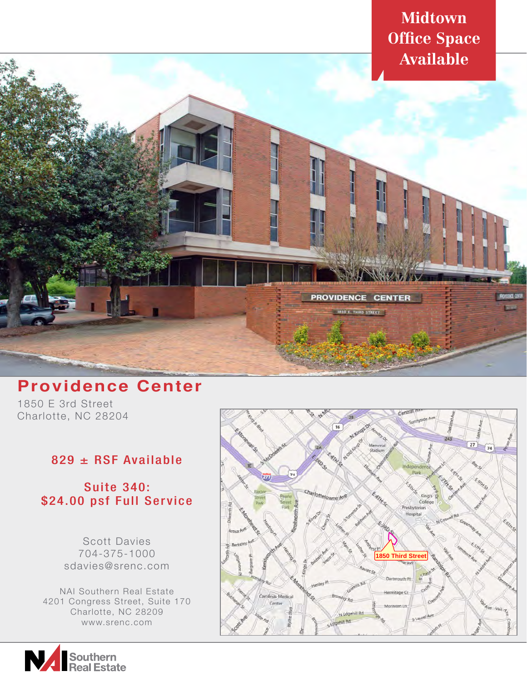

## **Providence Center**

1850 E 3rd Street Charlotte, NC 28204

## 829 ± RSF Available

## Suite 340: \$24.00 psf Full Service

Scott Davies 704-375-1000 sdavies@srenc.com

NAI Southern Real Estate 4201 Congress Street, Suite 170 Charlotte, NC 28209 www.srenc.com



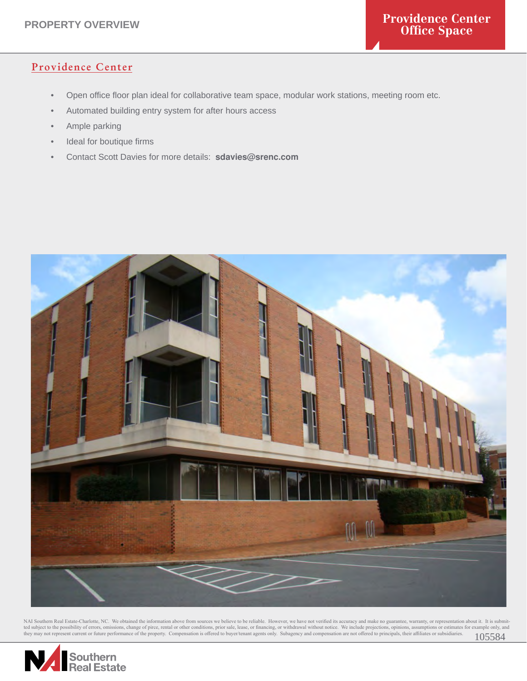## Providence Center

- Open office floor plan ideal for collaborative team space, modular work stations, meeting room etc.
- Automated building entry system for after hours access
- Ample parking
- Ideal for boutique firms
- Contact Scott Davies for more details: **sdavies@srenc.com**



NAI Southern Real Estate-Charlotte, NC. We obtained the information above from sources we believe to be reliable. However, we have not verified its accuracy and make no guarantee, warranty, or representation about it. It i

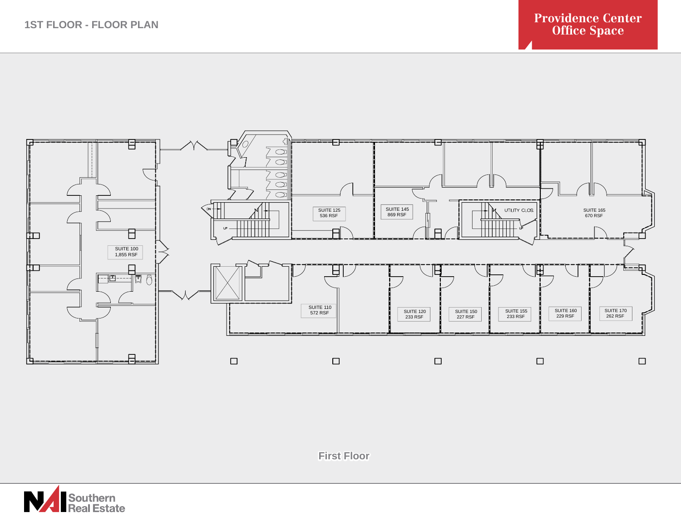

**First Floor**

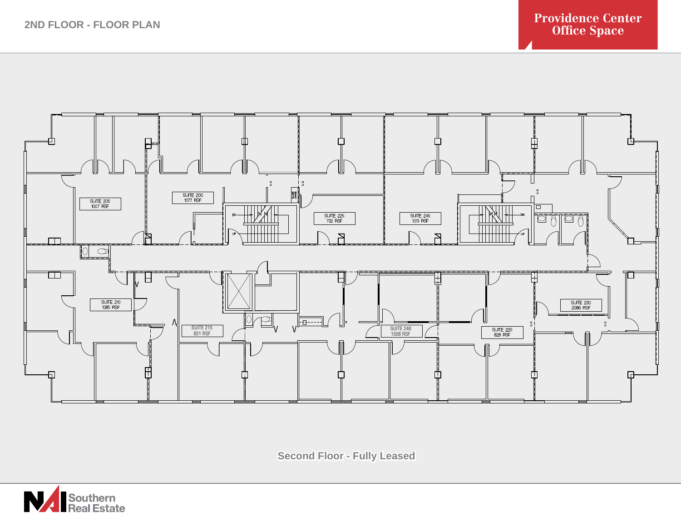

**Second Floor - Fully Leased**

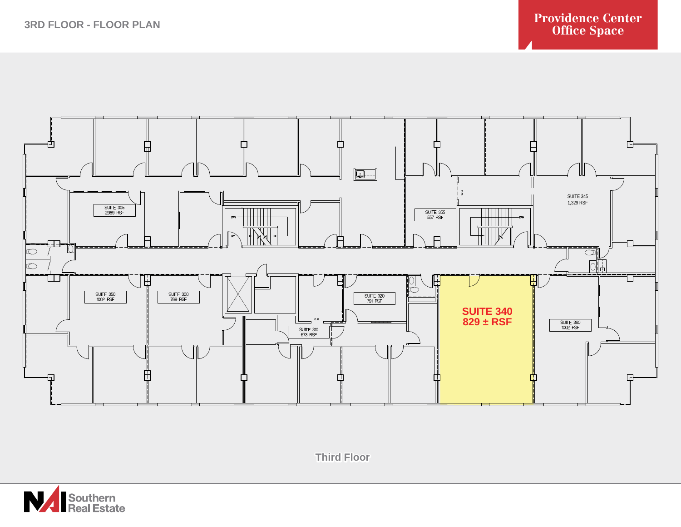

**Third Floor**